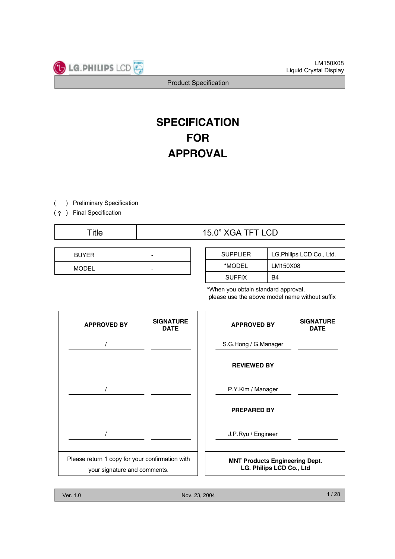# **SPECIFICATION FOR APPROVAL**

) Preliminary Specification (

(?) Final Specification

## Title  $15.0$ " XGA TFT LCD

| <b>BUYER</b> | - |
|--------------|---|
| <b>MODEL</b> | - |

| <b>SUPPLIER</b> | LG.Philips LCD Co., Ltd. |
|-----------------|--------------------------|
| *MODFI          | LM150X08                 |
| <b>SUFFIX</b>   | B4                       |

\*When you obtain standard approval, please use the above model name without suffix

| <b>APPROVED BY</b>                                                              | <b>SIGNATURE</b><br><b>DATE</b> | <b>APPROVED BY</b>                                                | <b>SIGNATURE</b><br><b>DATE</b> |
|---------------------------------------------------------------------------------|---------------------------------|-------------------------------------------------------------------|---------------------------------|
|                                                                                 |                                 | S.G.Hong / G.Manager                                              |                                 |
|                                                                                 |                                 | <b>REVIEWED BY</b>                                                |                                 |
|                                                                                 |                                 | P.Y.Kim / Manager                                                 |                                 |
|                                                                                 |                                 | <b>PREPARED BY</b>                                                |                                 |
|                                                                                 |                                 | J.P.Ryu / Engineer                                                |                                 |
| Please return 1 copy for your confirmation with<br>your signature and comments. |                                 | <b>MNT Products Engineering Dept.</b><br>LG. Philips LCD Co., Ltd |                                 |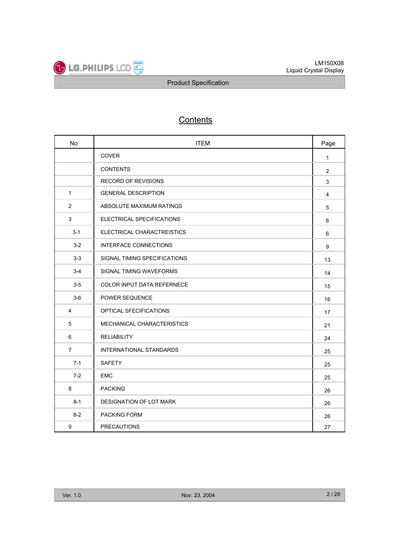

## **Contents**

| <b>No</b>      | <b>ITEM</b>                       | Page           |
|----------------|-----------------------------------|----------------|
|                | <b>COVER</b>                      | $\mathbf{1}$   |
|                | <b>CONTENTS</b>                   | $\overline{2}$ |
|                | <b>RECORD OF REVISIONS</b>        | 3              |
| $\mathbf{1}$   | <b>GENERAL DESCRIPTION</b>        | 4              |
| $\overline{2}$ | ABSOLUTE MAXIMUM RATINGS          | 5              |
| 3              | ELECTRICAL SPECIFICATIONS         | 6              |
| $3 - 1$        | ELECTRICAL CHARACTREISTICS        | 6              |
| $3-2$          | <b>INTERFACE CONNECTIONS</b>      | 9              |
| $3-3$          | SIGNAL TIMING SPECIFICATIONS      | 13             |
| $3 - 4$        | SIGNAL TIMING WAVEFORMS           | 14             |
| $3-5$          | <b>COLOR INPUT DATA REFERNECE</b> | 15             |
| $3-6$          | POWER SEQUENCE                    | 16             |
| 4              | OPTICAL SFECIFICATIONS            | 17             |
| 5              | MECHANICAL CHARACTERISTICS        | 21             |
| 6              | <b>RELIABILITY</b>                | 24             |
| $\overline{7}$ | <b>INTERNATIONAL STANDARDS</b>    | 25             |
| $7 - 1$        | <b>SAFETY</b>                     | 25             |
| $7-2$          | <b>EMC</b>                        | 25             |
| 8              | <b>PACKING</b>                    | 26             |
| $8 - 1$        | DESIGNATION OF LOT MARK           | 26             |
| $8 - 2$        | <b>PACKING FORM</b>               | 26             |
| 9              | <b>PRECAUTIONS</b>                | 27             |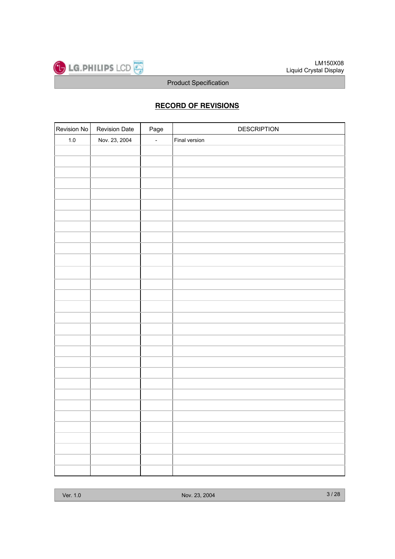

## **RECORD OF REVISIONS**

| Revision No | <b>Revision Date</b> | Page                     | <b>DESCRIPTION</b> |
|-------------|----------------------|--------------------------|--------------------|
| $1.0\,$     | Nov. 23, 2004        | $\overline{\phantom{a}}$ | Final version      |
|             |                      |                          |                    |
|             |                      |                          |                    |
|             |                      |                          |                    |
|             |                      |                          |                    |
|             |                      |                          |                    |
|             |                      |                          |                    |
|             |                      |                          |                    |
|             |                      |                          |                    |
|             |                      |                          |                    |
|             |                      |                          |                    |
|             |                      |                          |                    |
|             |                      |                          |                    |
|             |                      |                          |                    |
|             |                      |                          |                    |
|             |                      |                          |                    |
|             |                      |                          |                    |
|             |                      |                          |                    |
|             |                      |                          |                    |
|             |                      |                          |                    |
|             |                      |                          |                    |
|             |                      |                          |                    |
|             |                      |                          |                    |
|             |                      |                          |                    |
|             |                      |                          |                    |
|             |                      |                          |                    |
|             |                      |                          |                    |
|             |                      |                          |                    |
|             |                      |                          |                    |
|             |                      |                          |                    |
|             |                      |                          |                    |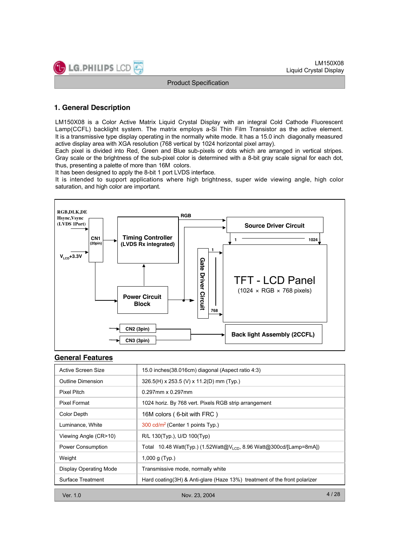

## **1. General Description**

LM150X08 is a Color Active Matrix Liquid Crystal Display with an integral Cold Cathode Fluorescent Lamp(CCFL) backlight system. The matrix employs a-Si Thin Film Transistor as the active element. It is a transmissive type display operating in the normally white mode. It has a 15.0 inch diagonally measured active display area with XGA resolution (768 vertical by 1024 horizontal pixel array).

Each pixel is divided into Red, Green and Blue sub-pixels or dots which are arranged in vertical stripes. Gray scale or the brightness of the sub-pixel color is determined with a 8-bit gray scale signal for each dot, thus, presenting a palette of more than 16M colors.

It has been designed to apply the 8-bit 1 port LVDS interface.

It is intended to support applications where high brightness, super wide viewing angle, high color saturation, and high color are important.



#### **General Features**

| Active Screen Size            | 15.0 inches (38.016cm) diagonal (Aspect ratio 4:3)                              |
|-------------------------------|---------------------------------------------------------------------------------|
| Outline Dimension             | 326.5(H) x 253.5 (V) x 11.2(D) mm (Typ.)                                        |
| Pixel Pitch                   | $0.297$ mm x $0.297$ mm                                                         |
| Pixel Format                  | 1024 horiz. By 768 vert. Pixels RGB strip arrangement                           |
| Color Depth                   | 16M colors (6-bit with FRC)                                                     |
| Luminance, White              | 300 cd/m <sup>2</sup> (Center 1 points Typ.)                                    |
| Viewing Angle (CR>10)         | R/L 130(Typ.), U/D 100(Typ)                                                     |
| Power Consumption             | Total 10.48 Watt(Typ.) (1.52Watt@V <sub>LCD</sub> , 8.96 Watt@300cd/[Lamp=8mA]) |
| Weight                        | 1,000 g $(Typ.)$                                                                |
| <b>Display Operating Mode</b> | Transmissive mode, normally white                                               |
| Surface Treatment             | Hard coating(3H) & Anti-glare (Haze 13%) treatment of the front polarizer       |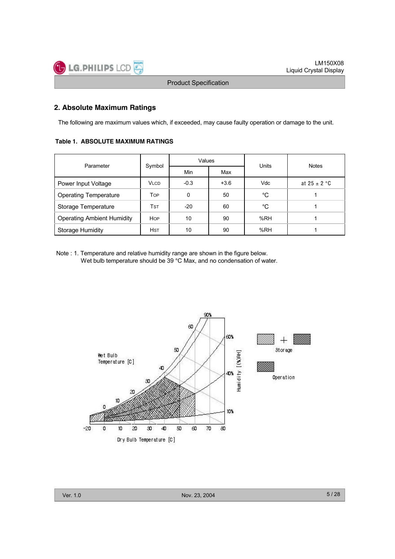## **2. Absolute Maximum Ratings**

The following are maximum values which, if exceeded, may cause faulty operation or damage to the unit.

#### **Table 1. ABSOLUTE MAXIMUM RATINGS**

| Parameter                         | Symbol      | Values |        | Units      | <b>Notes</b>     |  |
|-----------------------------------|-------------|--------|--------|------------|------------------|--|
|                                   |             | Min    | Max    |            |                  |  |
| Power Input Voltage               | <b>VLCD</b> | $-0.3$ | $+3.6$ | <b>Vdc</b> | at $25 \pm 2$ °C |  |
| <b>Operating Temperature</b>      | Top         | 0      | 50     | °C         |                  |  |
| Storage Temperature               | Tst         | $-20$  | 60     | °C         |                  |  |
| <b>Operating Ambient Humidity</b> | <b>HOP</b>  | 10     | 90     | %RH        |                  |  |
| <b>Storage Humidity</b>           | <b>HST</b>  | 10     | 90     | %RH        |                  |  |

Note : 1. Temperature and relative humidity range are shown in the figure below. Wet bulb temperature should be 39 °C Max, and no condensation of water.

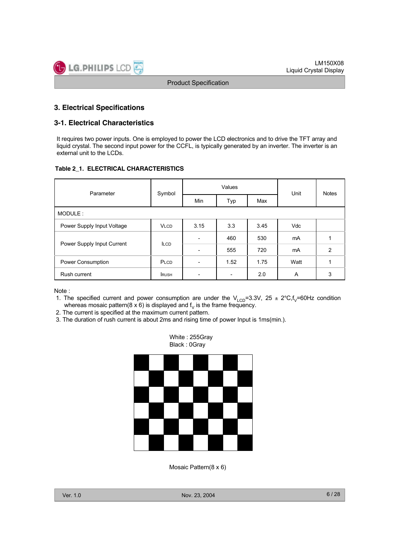## **3. Electrical Specifications**

## **3-1. Electrical Characteristics**

It requires two power inputs. One is employed to power the LCD electronics and to drive the TFT array and liquid crystal. The second input power for the CCFL, is typically generated by an inverter. The inverter is an external unit to the LCDs.

#### **Table 2\_1. ELECTRICAL CHARACTERISTICS**

| Parameter                  | Symbol      |                          | Values | Unit | <b>Notes</b> |               |
|----------------------------|-------------|--------------------------|--------|------|--------------|---------------|
|                            |             | Min                      | Typ    | Max  |              |               |
| MODULE:                    |             |                          |        |      |              |               |
| Power Supply Input Voltage | <b>VLCD</b> | 3.15                     | 3.3    |      | <b>Vdc</b>   |               |
|                            |             | $\overline{\phantom{a}}$ | 460    | 530  | mA           |               |
| Power Supply Input Current | <b>ILCD</b> | -                        | 555    | 720  | mA           | $\mathcal{P}$ |
| Power Consumption          | PLCD        |                          | 1.52   | 1.75 | Watt         |               |
| Rush current               | <b>RUSH</b> |                          |        | 2.0  | A            | 3             |

Note :

- 1. The specified current and power consumption are under the V<sub>LCD</sub>=3.3V, 25 ± 2°C,f<sub>V</sub>=60Hz condition whereas mosaic pattern( $8 \times 6$ ) is displayed and  $f<sub>v</sub>$  is the frame frequency.
- 2. The current is specified at the maximum current pattern.
- 3. The duration of rush current is about 2ms and rising time of power Input is 1ms(min.).



White : 255Gray

Mosaic Pattern(8 x 6)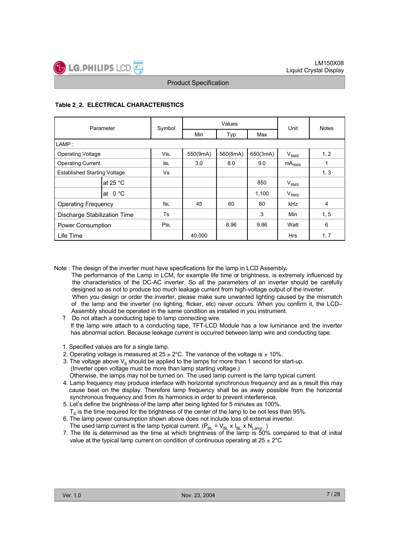## **Table 2\_2. ELECTRICAL CHARACTERISTICS**

| Parameter                           |            | Symbol     |          | Values   | Unit     | <b>Notes</b>     |                |
|-------------------------------------|------------|------------|----------|----------|----------|------------------|----------------|
|                                     |            |            | Min      | Typ      | Max      |                  |                |
| LAMP:                               |            |            |          |          |          |                  |                |
| <b>Operating Voltage</b>            |            | <b>VBL</b> | 550(9mA) | 560(8mA) | 650(3mA) | V <sub>RMS</sub> | 1, 2           |
| <b>Operating Current</b>            |            | <b>IBL</b> | 3.0      | 8.0      | 9.0      | $mA_{RMS}$       |                |
| <b>Established Starting Voltage</b> |            | Vs         |          |          |          |                  | 1, 3           |
|                                     | at 25 $°C$ |            |          |          | 850      | $V_{RMS}$        |                |
|                                     | at $0 °C$  |            |          |          | 1,100    | V <sub>RMS</sub> |                |
| <b>Operating Frequency</b>          |            | fbl        | 45       | 60       | 80       | kHz              | $\overline{4}$ |
| Discharge Stabilization Time        |            | <b>Ts</b>  |          |          | 3        | Min              | 1, 5           |
| Power Consumption                   |            | PBL        |          | 8.96     | 9.86     | Watt             | 6              |
| Life Time                           |            |            | 40,000   |          |          | <b>Hrs</b>       | 1, 7           |

Note : The design of the inverter must have specifications for the lamp in LCD Assembly**.**

The performance of the Lamp in LCM, for example life time or brightness, is extremely influenced by the characteristics of the DC-AC inverter. So all the parameters of an inverter should be carefully designed so as not to produce too much leakage current from high-voltage output of the inverter. When you design or order the inverter, please make sure unwanted lighting caused by the mismatch of the lamp and the inverter (no lighting, flicker, etc) never occurs. When you confirm it, the LCD– Assembly should be operated in the same condition as installed in you instrument.

? Do not attach a conducting tape to lamp connecting wire. If the lamp wire attach to a conducting tape, TFT-LCD Module has a low luminance and the inverter has abnormal action. Because leakage current is occurred between lamp wire and conducting tape.

- 1. Specified values are for a single lamp.
- 2. Operating voltage is measured at  $25 \pm 2^{\circ}$ C. The variance of the voltage is  $\pm$  10%.
- 3. The voltage above  $V_s$  should be applied to the lamps for more than 1 second for start-up. (Inverter open voltage must be more than lamp starting voltage.)
- Otherwise, the lamps may not be turned on. The used lamp current is the lamp typical current. 4. Lamp frequency may produce interface with horizontal synchronous frequency and as a result this may
- cause beat on the display. Therefore lamp frequency shall be as away possible from the horizontal synchronous frequency and from its harmonics in order to prevent interference.
- 5. Let's define the brightness of the lamp after being lighted for 5 minutes as 100%.  $T<sub>s</sub>$  is the time required for the brightness of the center of the lamp to be not less than 95%.
- 6. The lamp power consumption shown above does not include loss of external inverter. The used lamp current is the lamp typical current.  $(P_{\text{BI}} = V_{\text{BI}} \times I_{\text{BI}} \times N_{\text{Lamp}})$
- 7. The life is determined as the time at which brightness of the lamp is 50% compared to that of initial value at the typical lamp current on condition of continuous operating at  $25 \pm 2^{\circ}$ C.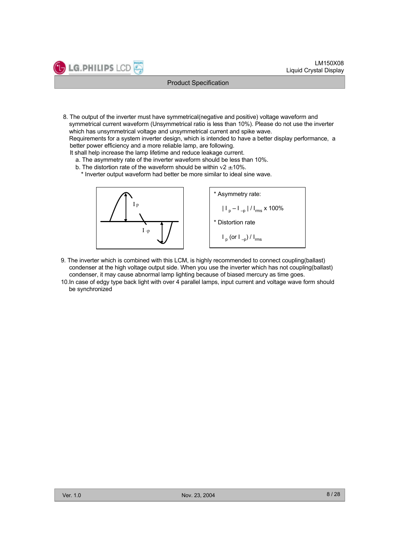8. The output of the inverter must have symmetrical(negative and positive) voltage waveform and symmetrical current waveform (Unsymmetrical ratio is less than 10%). Please do not use the inverter which has unsymmetrical voltage and unsymmetrical current and spike wave.

Requirements for a system inverter design, which is intended to have a better display performance, a better power efficiency and a more reliable lamp, are following.

It shall help increase the lamp lifetime and reduce leakage current.

- a. The asymmetry rate of the inverter waveform should be less than 10%.
- b. The distortion rate of the waveform should be within  $v2 \pm 10\%$ .
	- \* Inverter output waveform had better be more similar to ideal sine wave.



LG.PHILIPS LCD

\* Asymmetry rate:  $|I_p - I_{-p}| / I_{rms} \times 100\%$ \* Distortion rate  $I_p$  (or  $I_{-p}$ ) /  $I_{rms}$ 

- 9. The inverter which is combined with this LCM, is highly recommended to connect coupling(ballast) condenser at the high voltage output side. When you use the inverter which has not coupling(ballast) condenser, it may cause abnormal lamp lighting because of biased mercury as time goes.
- 10.In case of edgy type back light with over 4 parallel lamps, input current and voltage wave form should be synchronized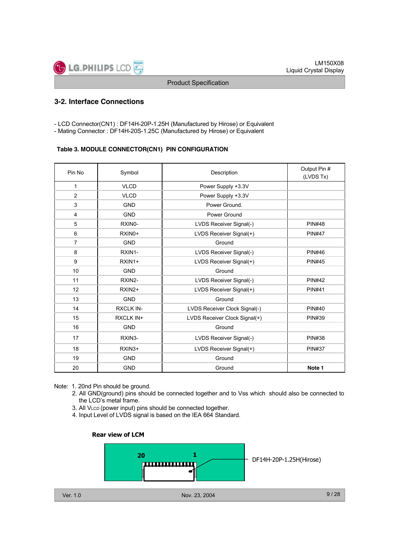## **3-2. Interface Connections**

- LCD Connector(CN1) : DF14H-20P-1.25H (Manufactured by Hirose) or Equivalent
- Mating Connector : DF14H-20S-1.25C (Manufactured by Hirose) or Equivalent

#### **Table 3. MODULE CONNECTOR(CN1) PIN CONFIGURATION**

| Pin No         | Symbol              | Description                   | Output Pin #<br>(LVDS Tx) |
|----------------|---------------------|-------------------------------|---------------------------|
| 1              | <b>VLCD</b>         | Power Supply +3.3V            |                           |
| $\overline{2}$ | <b>VLCD</b>         | Power Supply +3.3V            |                           |
| 3              | <b>GND</b>          | Power Ground.                 |                           |
| $\overline{4}$ | <b>GND</b>          | Power Ground                  |                           |
| 5              | RXIN0-              | LVDS Receiver Signal(-)       | <b>PIN#48</b>             |
| 6              | RXIN <sub>0</sub> + | LVDS Receiver Signal(+)       | <b>PIN#47</b>             |
| 7              | <b>GND</b>          | Ground                        |                           |
| 8              | RXIN1-              | LVDS Receiver Signal(-)       | <b>PIN#46</b>             |
| 9              | RXIN1+              | LVDS Receiver Signal(+)       | <b>PIN#45</b>             |
| 10             | <b>GND</b>          | Ground                        |                           |
| 11             | RXIN2-              | LVDS Receiver Signal(-)       | <b>PIN#42</b>             |
| 12             | RXIN2+              | LVDS Receiver Signal(+)       | <b>PIN#41</b>             |
| 13             | <b>GND</b>          | Ground                        |                           |
| 14             | <b>RXCLK IN-</b>    | LVDS Receiver Clock Signal(-) | <b>PIN#40</b>             |
| 15             | <b>RXCLK IN+</b>    | LVDS Receiver Clock Signal(+) | <b>PIN#39</b>             |
| 16             | <b>GND</b>          | Ground                        |                           |
| 17             | RXIN3-              | LVDS Receiver Signal(-)       | <b>PIN#38</b>             |
| 18             | RXIN <sub>3+</sub>  | LVDS Receiver Signal(+)       | <b>PIN#37</b>             |
| 19             | <b>GND</b>          | Ground                        |                           |
| 20             | <b>GND</b>          | Ground                        | Note 1                    |

- Note: 1. 20nd Pin should be ground.
	- 2. All GND(ground) pins should be connected together and to Vss which should also be connected to the LCD's metal frame.
	- 3. All VLCD (power input) pins should be connected together.
	- 4. Input Level of LVDS signal is based on the IEA 664 Standard.

#### **Rear view of LCM**

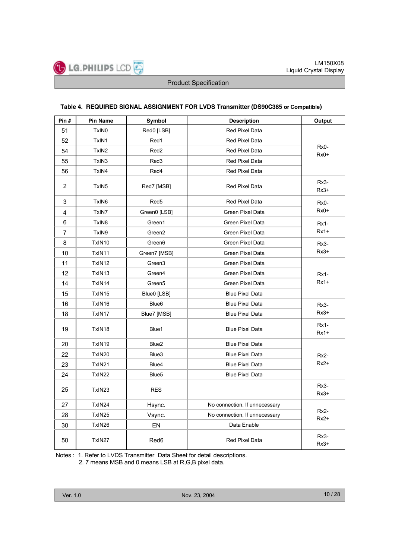#### **Table 4. REQUIRED SIGNAL ASSIGNMENT FOR LVDS Transmitter (DS90C385 or Compatible)**

| Pin#           | <b>Pin Name</b>    | Symbol             | <b>Description</b>            | Output           |
|----------------|--------------------|--------------------|-------------------------------|------------------|
| 51             | TxIN0              | Red0 [LSB]         | Red Pixel Data                |                  |
| 52             | TxIN1              | Red1               | Red Pixel Data                |                  |
| 54             | TxIN <sub>2</sub>  | Red <sub>2</sub>   | Red Pixel Data                | Rx0-<br>$Rx0+$   |
| 55             | TxIN3              | Red3               | Red Pixel Data                |                  |
| 56             | TxIN4              | Red4               | Red Pixel Data                |                  |
| $\overline{2}$ | TxIN5              | Red7 [MSB]         | Red Pixel Data                | Rx3-<br>$Rx3+$   |
| 3              | TxIN6              | Red <sub>5</sub>   | Red Pixel Data                | $Rx0-$           |
| 4              | TxIN7              | Green0 [LSB]       | <b>Green Pixel Data</b>       | $Rx0+$           |
| 6              | TxIN8              | Green1             | Green Pixel Data              | $Rx1-$           |
| 7              | TxIN9              | Green <sub>2</sub> | Green Pixel Data              | $Rx1+$           |
| 8              | TxIN10             | Green <sub>6</sub> | <b>Green Pixel Data</b>       | Rx3-             |
| 10             | TxIN11             | Green7 [MSB]       | <b>Green Pixel Data</b>       | $Rx3+$           |
| 11             | TxIN12             | Green <sub>3</sub> | Green Pixel Data              |                  |
| 12             | TxIN13             | Green4             | Green Pixel Data              | <b>Rx1-</b>      |
| 14             | TxIN14             | Green <sub>5</sub> | <b>Green Pixel Data</b>       | $Rx1+$           |
| 15             | TxIN15             | Blue0 [LSB]        | <b>Blue Pixel Data</b>        |                  |
| 16             | TxIN16             | Blue <sub>6</sub>  | <b>Blue Pixel Data</b>        | $Rx3-$           |
| 18             | TxIN17             | Blue7 [MSB]        | <b>Blue Pixel Data</b>        | $Rx3+$           |
| 19             | TxIN18             | Blue1              | <b>Blue Pixel Data</b>        | $Rx1-$<br>$Rx1+$ |
| 20             | TxIN19             | Blue <sub>2</sub>  | <b>Blue Pixel Data</b>        |                  |
| 22             | TxIN20             | Blue3              | <b>Blue Pixel Data</b>        | $Rx2-$           |
| 23             | TxIN21             | Blue4              | <b>Blue Pixel Data</b>        | $Rx2+$           |
| 24             | TxIN22             | Blue <sub>5</sub>  | <b>Blue Pixel Data</b>        |                  |
| 25             | TxIN <sub>23</sub> | <b>RES</b>         |                               | Rx3-<br>$Rx3+$   |
| 27             | TxIN24             | Hsync.             | No connection, If unnecessary |                  |
| 28             | TxIN25             | Vsync.             | No connection, If unnecessary | $Rx2-$<br>$Rx2+$ |
| 30             | TxIN26             | EN                 | Data Enable                   |                  |
| 50             | TxIN27             | Red <sub>6</sub>   | Red Pixel Data                | Rx3-<br>$Rx3+$   |

Notes : 1. Refer to LVDS Transmitter Data Sheet for detail descriptions.

2. 7 means MSB and 0 means LSB at R,G,B pixel data.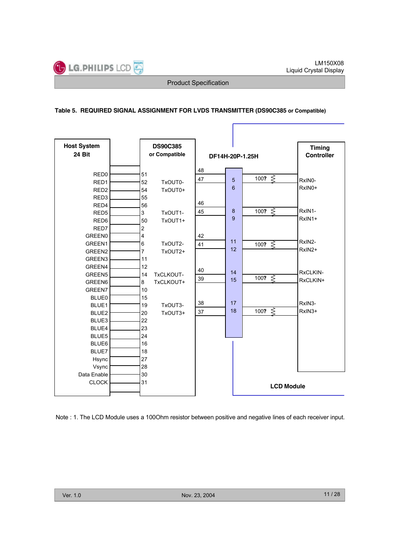## **Table 5. REQUIRED SIGNAL ASSIGNMENT FOR LVDS TRANSMITTER (DS90C385 or Compatible)**

| <b>Host System</b> |                         | <b>DS90C385</b> |                 |   |    |                        | <b>Timing</b>      |
|--------------------|-------------------------|-----------------|-----------------|---|----|------------------------|--------------------|
| 24 Bit             |                         | or Compatible   | DF14H-20P-1.25H |   |    |                        | <b>Controller</b>  |
|                    |                         |                 |                 |   |    |                        |                    |
| RED <sub>0</sub>   | 51                      |                 | 48              |   |    |                        |                    |
| RED <sub>1</sub>   | 52                      | TxOUT0-         | 47              |   | 5  | 100? $\leq$            | RxIN0-             |
| RED <sub>2</sub>   | 54                      | TxOUT0+         |                 |   | 6  |                        | RxIN0+             |
| RED <sub>3</sub>   | 55                      |                 |                 |   |    |                        |                    |
| RED4               | 56                      |                 | 46              |   |    |                        |                    |
| RED <sub>5</sub>   | 3                       | TxOUT1-         | 45              | 8 |    | 100? $\overline{\leq}$ | RxIN1-             |
| RED <sub>6</sub>   | 50                      | TxOUT1+         |                 |   | 9  |                        | RxIN1+             |
| RED7               | $\overline{2}$          |                 |                 |   |    |                        |                    |
| <b>GREEN0</b>      | $\overline{\mathbf{4}}$ |                 | 42              |   |    |                        |                    |
| GREEN1             | 6                       | TxOUT2-         | 41              |   | 11 | 100? $\leq$            | RxIN2-             |
| GREEN <sub>2</sub> | 7                       | TxOUT2+         |                 |   | 12 |                        | RxIN2+             |
| GREEN3             | 11                      |                 |                 |   |    |                        |                    |
| GREEN4             | 12                      |                 | 40              |   |    |                        |                    |
| GREEN <sub>5</sub> | 14                      | TxCLKOUT-       |                 |   | 14 | 100? $\leq$            | RxCLKIN-           |
| GREEN6             | 8                       | TxCLKOUT+       | 39              |   | 15 |                        | RxCLKIN+           |
| <b>GREEN7</b>      | 10                      |                 |                 |   |    |                        |                    |
| <b>BLUE0</b>       | 15                      |                 |                 |   |    |                        |                    |
| BLUE1              | 19                      | TxOUT3-         | 38              |   | 17 |                        | RxIN3-             |
| BLUE2              | 20                      | TxOUT3+         | 37              |   | 18 | 100? $\leq$            | RxIN <sub>3+</sub> |
| BLUE3              | 22                      |                 |                 |   |    |                        |                    |
| BLUE4              | 23                      |                 |                 |   |    |                        |                    |
| BLUE5              | 24                      |                 |                 |   |    |                        |                    |
| BLUE6              | 16                      |                 |                 |   |    |                        |                    |
| BLUE7              | 18                      |                 |                 |   |    |                        |                    |
| Hsync              | 27                      |                 |                 |   |    |                        |                    |
| Vsync              | 28                      |                 |                 |   |    |                        |                    |
| Data Enable        | 30                      |                 |                 |   |    |                        |                    |
| <b>CLOCK</b>       | 31                      |                 |                 |   |    | <b>LCD Module</b>      |                    |
|                    |                         |                 |                 |   |    |                        |                    |
|                    |                         |                 |                 |   |    |                        |                    |

Note : 1. The LCD Module uses a 100Ohm resistor between positive and negative lines of each receiver input.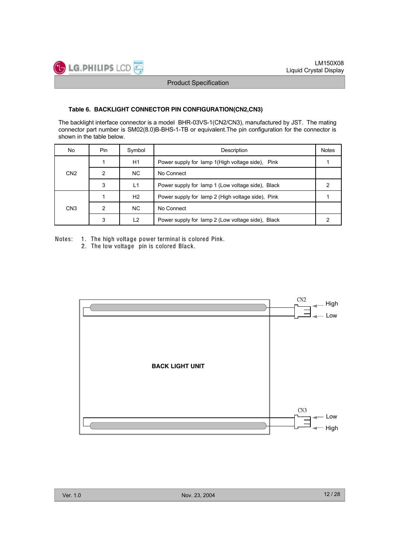#### **Table 6. BACKLIGHT CONNECTOR PIN CONFIGURATION(CN2,CN3)**

 $-$  LG. PHILIPS LCD

The backlight interface connector is a model BHR-03VS-1(CN2/CN3), manufactured by JST. The mating connector part number is SM02(8.0)B-BHS-1-TB or equivalent.The pin configuration for the connector is shown in the table below.

| No              | <b>Pin</b> | Symbol | Description                                       | <b>Notes</b> |
|-----------------|------------|--------|---------------------------------------------------|--------------|
|                 |            | H1     | Power supply for lamp 1 (High voltage side), Pink |              |
| CN <sub>2</sub> |            | NC.    | No Connect                                        |              |
|                 | 3          | L1     | Power supply for lamp 1 (Low voltage side), Black |              |
|                 |            | H2     | Power supply for lamp 2 (High voltage side), Pink |              |
| CN <sub>3</sub> |            | NC.    | No Connect                                        |              |
|                 | 3          | L2     | Power supply for lamp 2 (Low voltage side), Black |              |

Notes: 1. The high voltage power terminal is colored Pink.

2. The low voltage pin is colored Black.

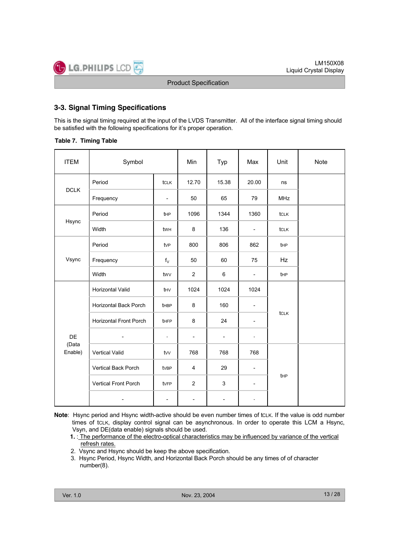## **3-3. Signal Timing Specifications**

This is the signal timing required at the input of the LVDS Transmitter. All of the interface signal timing should be satisfied with the following specifications for it's proper operation.

**Table 7. Timing Table**

| <b>ITEM</b>      | Symbol                        | Min                      | Typ                      | Max                      | Unit                     | Note        |  |
|------------------|-------------------------------|--------------------------|--------------------------|--------------------------|--------------------------|-------------|--|
|                  | Period                        | tclk                     | 12.70                    | 15.38                    | 20.00                    | ns          |  |
| <b>DCLK</b>      | Frequency                     | $\overline{\phantom{0}}$ | 50                       | 65                       | 79                       | <b>MHz</b>  |  |
|                  | Period                        | tHP                      | 1096                     | 1344                     | 1360                     | tclk        |  |
| Hsync            | Width                         | twh                      | 8                        | 136                      | $\overline{\phantom{a}}$ | <b>tCLK</b> |  |
|                  | Period                        | tvP                      | 800                      | 806                      | 862                      | tHP         |  |
| Vsync            | Frequency                     | $f_V$                    | 50                       | 60                       | 75                       | Hz          |  |
|                  | Width                         | twv                      | $\overline{2}$           | 6                        | $\overline{\phantom{a}}$ | tHP         |  |
|                  | Horizontal Valid              | thy                      | 1024                     | 1024                     | 1024                     |             |  |
|                  | <b>Horizontal Back Porch</b>  | thBP                     | 8                        | 160                      | $\overline{\phantom{0}}$ |             |  |
|                  | <b>Horizontal Front Porch</b> | tHFP                     | 8                        | 24                       | $\overline{\phantom{a}}$ | <b>tCLK</b> |  |
| DE               | $\overline{a}$                | $\blacksquare$           | $\overline{\phantom{a}}$ | $\overline{\phantom{a}}$ | $\blacksquare$           |             |  |
| (Data<br>Enable) | Vertical Valid                | $t$ w                    | 768                      | 768                      | 768                      |             |  |
|                  | Vertical Back Porch           | tvBP                     | $\overline{4}$           | 29                       | $\overline{\phantom{0}}$ |             |  |
|                  | Vertical Front Porch          | tvFP                     | $\overline{2}$           | 3                        | $\overline{\phantom{a}}$ | tHP         |  |
|                  |                               | $\blacksquare$           | $\overline{\phantom{0}}$ | $\overline{\phantom{a}}$ | ÷,                       |             |  |

- **Note**: Hsync period and Hsync width-active should be even number times of tcLK. If the value is odd number times of tcLK, display control signal can be asynchronous. In order to operate this LCM a Hsync, Vsyn, and DE(data enable) signals should be used.
	- **1.** : The performance of the electro-optical characteristics may be influenced by variance of the vertical refresh rates.
	- 2. Vsync and Hsync should be keep the above specification.
	- 3. Hsync Period, Hsync Width, and Horizontal Back Porch should be any times of of character number(8).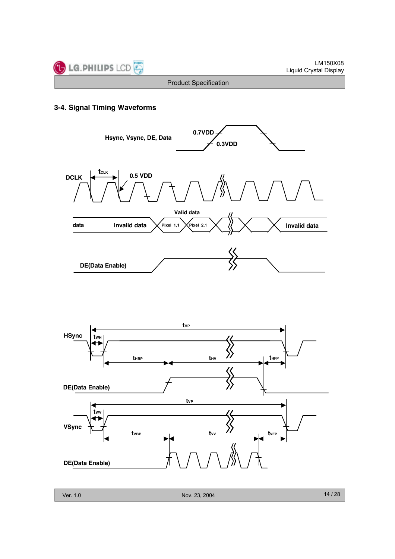

## **3-4. Signal Timing Waveforms**



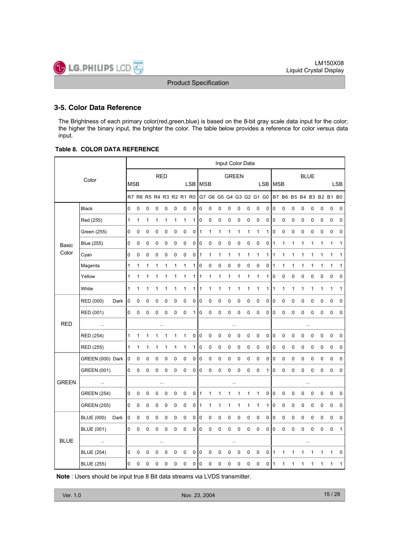## **3-5. Color Data Reference**

The Brightness of each primary color(red,green,blue) is based on the 8-bit gray scale data input for the color; the higher the binary input, the brighter the color. The table below provides a reference for color versus data input.

#### **Table 8. COLOR DATA REFERENCE**

|              |                    |      |              |             |   |            |             |   |                         |          |                |              |              | Input Color Data        |              |             |              |            |             |             |              |          |              |             |                         |              |
|--------------|--------------------|------|--------------|-------------|---|------------|-------------|---|-------------------------|----------|----------------|--------------|--------------|-------------------------|--------------|-------------|--------------|------------|-------------|-------------|--------------|----------|--------------|-------------|-------------------------|--------------|
|              | Color              |      |              |             |   | <b>RED</b> |             |   |                         |          |                |              |              | <b>GREEN</b>            |              |             |              |            |             |             |              |          | <b>BLUE</b>  |             |                         |              |
|              |                    |      | <b>MSB</b>   |             |   |            |             |   |                         |          | LSB MSB        |              |              |                         |              |             |              | <b>LSB</b> | <b>MSB</b>  |             |              |          |              |             |                         | <b>LSB</b>   |
|              |                    |      |              |             |   |            |             |   | R7 R6 R5 R4 R3 R2 R1 R0 |          |                |              |              | G7 G6 G5 G4 G3 G2 G1 G0 |              |             |              |            |             |             |              |          |              |             | B7 B6 B5 B4 B3 B2 B1 B0 |              |
|              | <b>Black</b>       |      | 0            | 0           | 0 | 0          | 0           | 0 | 0                       | 0        | 0              | 0            | 0            | 0                       | 0            | 0           | 0            | 0          | 0           | 0           | 0            | 0        | 0            | 0           | $\mathbf 0$             | 0            |
|              | Red (255)          |      | $\mathbf{1}$ | 1           | 1 | 1          | 1           | 1 | 1                       | 1        | $\overline{0}$ | 0            | $\pmb{0}$    | $\pmb{0}$               | $\mathbf 0$  | $\mathsf 0$ | $\pmb{0}$    | 0          | $ 0\rangle$ | $\pmb{0}$   | $\mathbf 0$  | 0        | 0            | 0           | $\mathbf 0$             | 0            |
|              | Green (255)        |      | 0            | 0           | 0 | $\pmb{0}$  | 0           | 0 | 0                       | 0        | 1              | 1            | $\mathbf{1}$ | $\mathbf{1}$            | 1            | 1           | $\mathbf{1}$ | 1          | 0           | 0           | 0            | 0        | 0            | $\pmb{0}$   | $\mathbf 0$             | $\pmb{0}$    |
| Basic        | <b>Blue (255)</b>  |      | 0            | 0           | 0 | 0          | 0           | 0 | 0                       | 0        | 0              | 0            | 0            | 0                       | $\mathbf 0$  | 0           | 0            | 0          | 1           | 1           | 1            | 1        | 1            | 1           | 1                       | 1            |
| Color        | Cyan               |      | 0            | 0           | 0 | 0          | 0           | 0 | 0                       | 0        | 1              | $\mathbf{1}$ | $\mathbf{1}$ | 1                       | $\mathbf{1}$ | 1           | $\mathbf{1}$ | 1          | $\vert$ 1   | 1           | $\mathbf{1}$ | 1        | $\mathbf{1}$ | 1           | $\mathbf{1}$            | 1            |
|              | Magenta            |      | 1            | 1           | 1 | 1          | 1           | 1 | 1                       | 1 0      |                | $\mathbf 0$  | 0            | 0                       | $\mathbf 0$  | 0           | 0            | 0          | 11          | 1           | 1            | 1        | 1            | 1           | $\mathbf{1}$            | $\mathbf{1}$ |
|              | Yellow             |      | 1            | 1           | 1 | 1          | 1           | 1 | 1                       | 1        | 1              | 1            | 1            | 1                       | $\mathbf 1$  | 1           | $\mathbf{1}$ | 1          | $\mathbf 0$ | 0           | 0            | 0        | 0            | 0           | $\mathbf 0$             | 0            |
|              | White              |      | 1            | 1           | 1 | 1          | 1           | 1 | 1                       | $1 \mid$ | 1              | 1            | 1            | 1                       | 1            | 1           | $\mathbf{1}$ | 1          | 1           | 1           | 1            | 1        | 1            | 1           | 1                       | 1            |
|              | RED (000)          | Dark | 0            | 0           | 0 | 0          | 0           | 0 | 0                       | 0        | 0              | 0            | 0            | 0                       | 0            | 0           | 0            | 0          | 0           | $\mathbf 0$ | 0            | 0        | 0            | 0           | $\mathbf 0$             | 0            |
|              | RED (001)          |      | 0            | 0           | 0 | 0          | 0           | 0 | 0                       | 1        | $\overline{0}$ | 0            | 0            | 0                       | 0            | 0           | 0            | 0          | 10          | 0           | 0            | 0        | 0            | 0           | $\mathbf 0$             | 0            |
| <b>RED</b>   | $\cdots$           |      |              |             |   | $\cdots$   |             |   |                         |          |                |              |              |                         |              |             |              |            |             |             |              |          | $\ldots$     |             |                         |              |
|              | RED (254)          |      | 1            | 1           | 1 | 1          | 1           | 1 | 1                       | 0        | 0              | $\pmb{0}$    | $\pmb{0}$    | $\pmb{0}$               | $\pmb{0}$    | 0           | $\pmb{0}$    | $\pmb{0}$  | $\pmb{0}$   | 0           | 0            | 0        | 0            | $\pmb{0}$   | 0                       | 0            |
|              | RED (255)          |      | 1            | 1           | 1 | 1          | 1           | 1 | 1                       | $1 \mid$ | 0              | 0            | 0            | 0                       | $\pmb{0}$    | 0           | $\pmb{0}$    | 0          | 10          | 0           | 0            | 0        | 0            | 0           | 0                       | 0            |
|              | GREEN (000) Dark   |      | 0            | 0           | 0 | 0          | 0           | 0 | 0                       | 0        | 0              | $\pmb{0}$    | 0            | $\pmb{0}$               | $\pmb{0}$    | $\pmb{0}$   | 0            | 0          | 0           | $\pmb{0}$   | 0            | 0        | 0            | 0           | 0                       | 0            |
|              | <b>GREEN (001)</b> |      | 0            | 0           | 0 | 0          | $\mathbf 0$ | 0 | $\mathbf 0$             | 0        | $\overline{0}$ | 0            | 0            | 0                       | $\mathbf 0$  | 0           | $\mathbf 0$  | 1          | 10          | 0           | 0            | 0        | $\mathbf 0$  | $\mathbf 0$ | $\mathbf 0$             | $\mathbf 0$  |
| <b>GREEN</b> | $\ddotsc$          |      |              |             |   |            | $\cdots$    |   |                         |          |                |              |              |                         |              |             |              |            |             |             |              |          | $\ldots$     |             |                         |              |
|              | <b>GREEN (254)</b> |      | 0            | 0           | 0 | 0          | 0           | 0 | 0                       | 0        | 1              | 1            | 1            | 1                       | $\mathbf 1$  | 1           | $\mathbf{1}$ | 0          | $\pmb{0}$   | 0           | 0            | 0        | 0            | 0           | 0                       | 0            |
|              | <b>GREEN (255)</b> |      | 0            | 0           | 0 | 0          | 0           | 0 | 0                       | 0        | 1              | 1            | 1            | 1                       | $\mathbf 1$  | 1           | $\mathbf{1}$ | 1          | 10          | 0           | 0            | 0        | 0            | 0           | 0                       | 0            |
|              | <b>BLUE (000)</b>  | Dark | 0            | 0           | 0 | 0          | 0           | 0 | 0                       | 0        | 0              | 0            | 0            | 0                       | 0            | 0           | 0            | 0          | 0           | 0           | 0            | 0        | 0            | 0           | $\mathbf 0$             | 0            |
|              | <b>BLUE (001)</b>  |      | 0            | 0           | 0 | 0          | 0           | 0 | $\mathbf 0$             | 0        | 0              | 0            | 0            | 0                       | $\mathbf 0$  | 0           | 0            | 0          | I٥          | 0           | 0            | 0        | 0            | 0           | $\mathbf 0$             | $\mathbf{1}$ |
| <b>BLUE</b>  | $\cdots$           |      |              |             |   |            |             |   |                         |          |                |              |              |                         |              |             |              |            |             |             |              | $\cdots$ |              |             |                         |              |
|              | <b>BLUE (254)</b>  |      | 0            | $\mathbf 0$ | 0 | 0          | 0           | 0 | $\mathbf 0$             | 0        | $ 0\rangle$    | $\pmb{0}$    | $\pmb{0}$    | 0                       | $\mathbf 0$  | 0           | $\pmb{0}$    | 0          | ۱1          | 1           | 1            | 1        | 1            | 1           | $\mathbf 1$             | 0            |
|              | <b>BLUE (255)</b>  |      | 0            | 0           | 0 | 0          | 0           | 0 | 0                       | 0        | 0              | 0            | 0            | 0                       | 0            | 0           | 0            | 0          | 1           | 1           | 1            | 1        | 1            | 1           | 1                       | 1            |

**Note** : Users should be input true 8 Bit data streams via LVDS transmitter.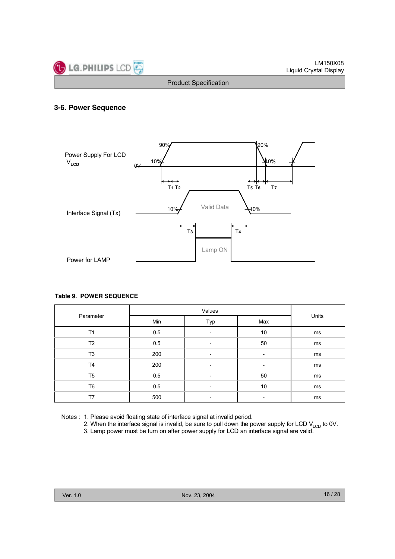

## **3-6. Power Sequence**



#### **Table 9. POWER SEQUENCE**

| Parameter      | Min | Typ | Max | Units |
|----------------|-----|-----|-----|-------|
| T1             | 0.5 |     | 10  | ms    |
| T <sub>2</sub> | 0.5 |     | 50  | ms    |
| T <sub>3</sub> | 200 |     |     | ms    |
| T <sub>4</sub> | 200 |     |     | ms    |
| T <sub>5</sub> | 0.5 |     | 50  | ms    |
| T <sub>6</sub> | 0.5 |     | 10  | ms    |
| T7             | 500 |     |     | ms    |

Notes : 1. Please avoid floating state of interface signal at invalid period.

2. When the interface signal is invalid, be sure to pull down the power supply for LCD  $V_{\text{LCD}}$  to 0V.

3. Lamp power must be turn on after power supply for LCD an interface signal are valid.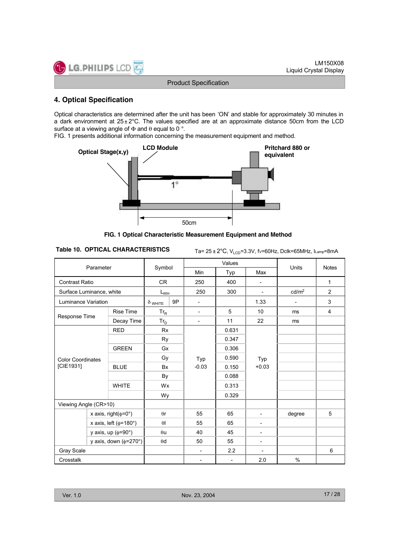## **4. Optical Specification**

LG.PHILIPS LCD

Optical characteristics are determined after the unit has been 'ON' and stable for approximately 30 minutes in a dark environment at  $25 \pm 2^{\circ}$ C. The values specified are at an approximate distance 50cm from the LCD surface at a viewing angle of  $\Phi$  and  $\theta$  equal to 0 °.

FIG. 1 presents additional information concerning the measurement equipment and method.



**FIG. 1 Optical Characteristic Measurement Equipment and Method**

**Table 10. OPTICAL CHARACTERISTICS** Ta= 25 ± 2°C, V<sub>LCD</sub>=3.3V, fv=60Hz, Dclk=65MHz, ILamp=8mA

|                              | Parameter                   |                      |            |                          |                          | Values                   |                          | <b>Units</b>   |              |
|------------------------------|-----------------------------|----------------------|------------|--------------------------|--------------------------|--------------------------|--------------------------|----------------|--------------|
|                              |                             |                      | Symbol     |                          | Min                      | Typ                      | Max                      |                | <b>Notes</b> |
| <b>Contrast Ratio</b>        |                             |                      | CR         |                          | 250                      | 400                      | $\overline{\phantom{a}}$ |                | 1            |
| Surface Luminance, white     |                             | $L_{\underline{WH}}$ |            | 250                      | 300                      | $\blacksquare$           | cd/m <sup>2</sup>        | $\overline{2}$ |              |
| <b>Luminance Variation</b>   |                             | $\delta$ white       | 9P         | $\overline{\phantom{a}}$ |                          | 1.33                     | $\overline{\phantom{a}}$ | 3              |              |
| <b>Rise Time</b>             |                             | $Tr_R$               |            | $\blacksquare$           | 5                        | 10                       | ms                       | $\overline{4}$ |              |
|                              | Response Time<br>Decay Time |                      | $Tr_D$     |                          | $\overline{\phantom{a}}$ | 11                       | 22                       | ms             |              |
|                              |                             | <b>RED</b>           | <b>Rx</b>  |                          |                          | 0.631                    |                          |                |              |
|                              |                             |                      | Ry         |                          |                          | 0.347                    |                          |                |              |
|                              |                             | <b>GREEN</b>         | Gx         |                          |                          | 0.306                    |                          |                |              |
| <b>Color Coordinates</b>     |                             |                      |            | Gy                       |                          | 0.590                    | Typ                      |                |              |
| [CIE1931]                    |                             | <b>BLUE</b>          | <b>Bx</b>  |                          | Typ<br>$-0.03$           | 0.150                    | $+0.03$                  |                |              |
|                              |                             |                      |            | By                       |                          | 0.088                    |                          |                |              |
|                              |                             | <b>WHITE</b>         | Wx         |                          |                          | 0.313                    |                          |                |              |
|                              |                             |                      | Wy         |                          |                          | 0.329                    |                          |                |              |
| Viewing Angle (CR>10)        |                             |                      |            |                          |                          |                          |                          |                |              |
|                              | x axis, right( $\phi$ =0°)  |                      | $\theta$ r |                          | 55                       | 65                       | $\blacksquare$           | degree         | 5            |
| x axis, left ( $\phi$ =180°) |                             | $\theta$             |            | 55                       | 65                       | $\overline{\phantom{a}}$ |                          |                |              |
| y axis, up ( $\phi$ =90°)    |                             | $\theta$ u           |            | 40                       | 45                       | $\overline{\phantom{a}}$ |                          |                |              |
| y axis, down ( $\phi$ =270°) |                             | $\theta$ d           |            | 50                       | 55                       | $\overline{\phantom{a}}$ |                          |                |              |
| Gray Scale                   |                             |                      |            |                          |                          | 2.2                      | $\overline{\phantom{a}}$ |                | 6            |
| Crosstalk                    |                             |                      |            |                          | $\overline{\phantom{a}}$ | $\overline{\phantom{a}}$ | 2.0                      | $\%$           |              |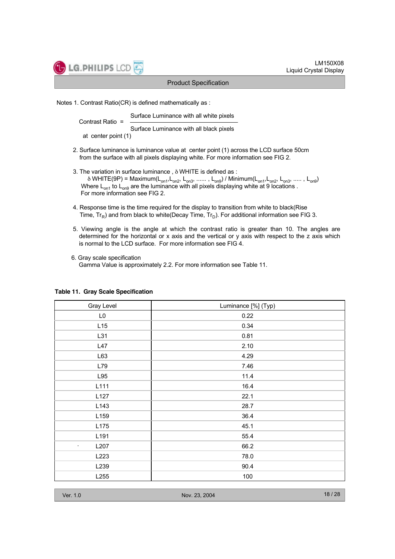Notes 1. Contrast Ratio(CR) is defined mathematically as :

Surface Luminance with all white pixels Contrast Ratio = Surface Luminance with all black pixels at center point (1)

- 2. Surface luminance is luminance value at center point (1) across the LCD surface 50cm from the surface with all pixels displaying white. For more information see FIG 2.
- 3. The variation in surface luminance , δ WHITE is defined as :  $\delta$  WHITE(9P) = Maximum( $L_{on1}$ ,  $L_{on2}$ ,  $L_{on3}$ , ......,  $L_{on9}$ ) / Minimum( $L_{on1}$ ,  $L_{on2}$ ,  $L_{on3}$ , .....,  $L_{on9}$ ) Where  $L_{on1}$  to  $L_{on9}$  are the luminance with all pixels displaying white at 9 locations . For more information see FIG 2.
- 4. Response time is the time required for the display to transition from white to black(Rise Time,  $Tr_{\mathsf{P}}$ ) and from black to white(Decay Time,  $Tr_{\mathsf{D}}$ ). For additional information see FIG 3.
- 5. Viewing angle is the angle at which the contrast ratio is greater than 10. The angles are determined for the horizontal or x axis and the vertical or y axis with respect to the z axis which is normal to the LCD surface. For more information see FIG 4.
- 6. Gray scale specification Gamma Value is approximately 2.2. For more information see Table 11.

| Gray Level       | Luminance [%] (Typ) |
|------------------|---------------------|
| L <sub>0</sub>   | 0.22                |
| L15              | 0.34                |
| L31              | 0.81                |
| L47              | 2.10                |
| L63              | 4.29                |
| L79              | 7.46                |
| L95              | 11.4                |
| L111             | 16.4                |
| L <sub>127</sub> | 22.1                |
| L <sub>143</sub> | 28.7                |
| L159             | 36.4                |
| L175             | 45.1                |
| L191             | 55.4                |
| L207<br>$\sim$   | 66.2                |
| L223             | 78.0                |
| L239             | 90.4                |
| L255             | 100                 |

#### **Table 11. Gray Scale Specification**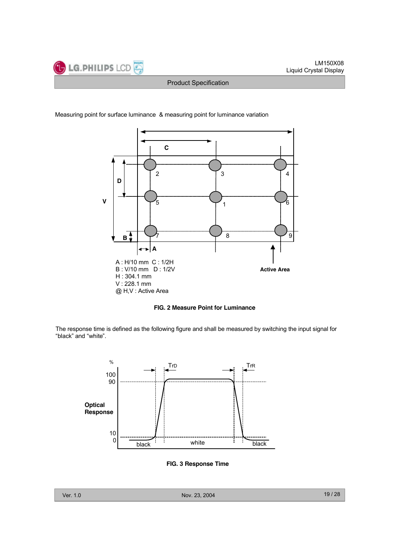



Measuring point for surface luminance & measuring point for luminance variation





The response time is defined as the following figure and shall be measured by switching the input signal for "black" and "white".



**FIG. 3 Response Time**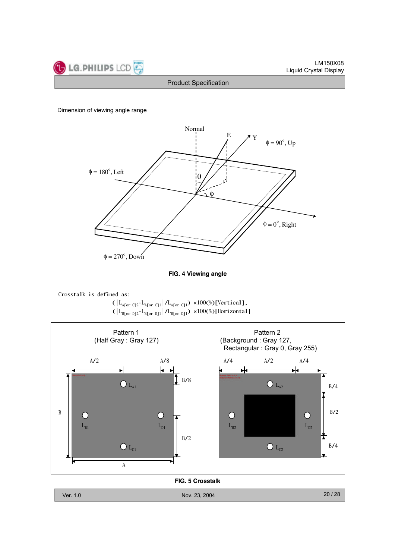

#### Dimension of viewing angle range







( $L_{A[or\ C]2}$ - $L_{A[or\ C]1}$  | $/L_{A[or\ C]1}$ ) ×100(%)[Vertical], ( $\lfloor L_{\text{Bfor DJ2}}-L_{\text{Bfor DJ1}} \rfloor/L_{\text{Bfor DJ1}}$ ) ×100(%)[Horizontal]



**FIG. 5 Crosstalk**

Ver. 1.0 Nov. 23, 2004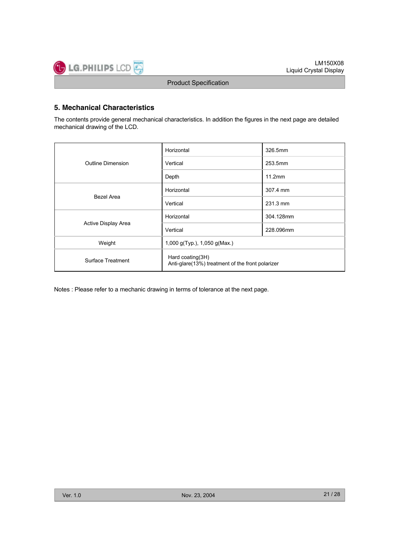## **5. Mechanical Characteristics**

The contents provide general mechanical characteristics. In addition the figures in the next page are detailed mechanical drawing of the LCD.

|                          | Horizontal                                                           | 326.5mm   |  |  |  |  |
|--------------------------|----------------------------------------------------------------------|-----------|--|--|--|--|
| <b>Outline Dimension</b> | Vertical                                                             | 253.5mm   |  |  |  |  |
|                          | Depth                                                                | 11.2mm    |  |  |  |  |
|                          | Horizontal                                                           | 307.4 mm  |  |  |  |  |
| Bezel Area               | Vertical                                                             | 231.3 mm  |  |  |  |  |
|                          | Horizontal                                                           | 304.128mm |  |  |  |  |
| Active Display Area      | Vertical                                                             | 228.096mm |  |  |  |  |
| Weight                   | 1,000 g(Typ.), 1,050 g(Max.)                                         |           |  |  |  |  |
| Surface Treatment        | Hard coating(3H)<br>Anti-glare(13%) treatment of the front polarizer |           |  |  |  |  |

Notes : Please refer to a mechanic drawing in terms of tolerance at the next page.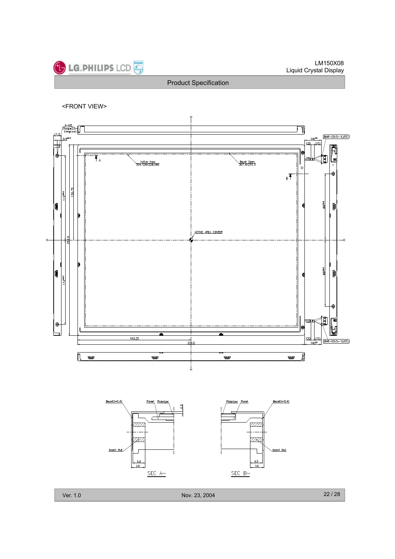

<FRONT VIEW>





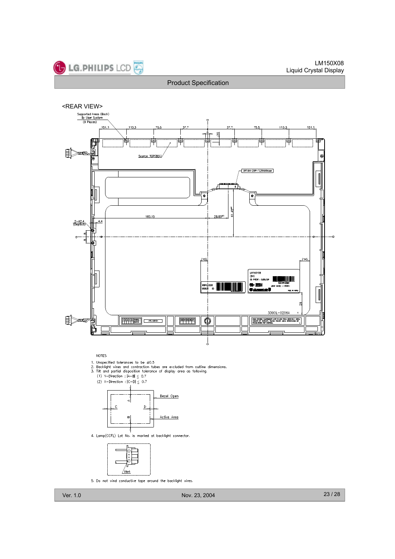

<REAR VIEW>



**NOTES** 

- 
- 1. Unspecified tolerances to be  $\pm 0.5$ <br>2. Backlight wires and contraction tubes are excluded from outline dimensions.<br>3. Tilt and partial disposition tolerance of display area as following.
- 



4. Lamp(CCFL) Lot No. is marked at backlight connector.



5. Do not wind conductive tape around the backlight wires.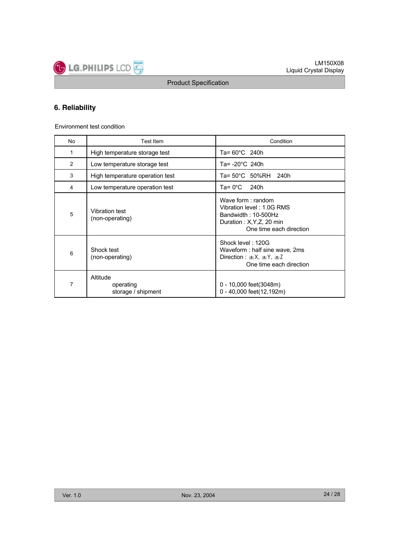

## **6. Reliability**

Environment test condition

| No | Test Item                                   | Condition                                                                                                                            |
|----|---------------------------------------------|--------------------------------------------------------------------------------------------------------------------------------------|
| 1  | High temperature storage test               | Ta= $60^{\circ}$ C 240h                                                                                                              |
| 2  | Low temperature storage test                | Ta= -20°C 240h                                                                                                                       |
| 3  | High temperature operation test             | Ta= 50°C 50%RH<br>240h                                                                                                               |
| 4  | Low temperature operation test              | Ta= $0^{\circ}$ C<br>240h                                                                                                            |
| 5  | Vibration test<br>(non-operating)           | Wave form $:$ random<br>Vibration level: 1.0G RMS<br>Bandwidth: 10-500Hz<br>Duration : $X, Y, Z$ , 20 min<br>One time each direction |
| 6  | Shock test<br>(non-operating)               | Shock level: 120G<br>Waveform: half sine wave, 2ms<br>Direction : $\pm X$ , $\pm Y$ , $\pm Z$<br>One time each direction             |
| 7  | Altitude<br>operating<br>storage / shipment | 0 - 10,000 feet(3048m)<br>0 - 40,000 feet(12,192m)                                                                                   |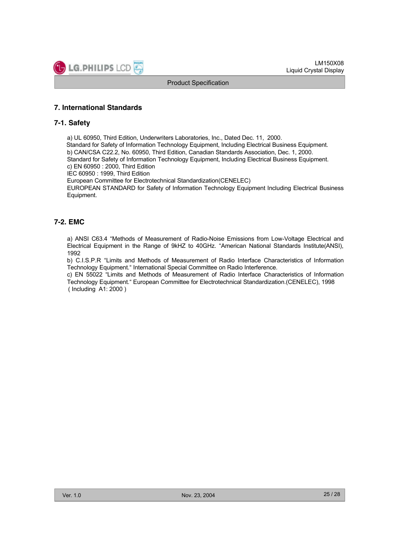## **7. International Standards**

## **7-1. Safety**

a) UL 60950, Third Edition, Underwriters Laboratories, Inc., Dated Dec. 11, 2000. Standard for Safety of Information Technology Equipment, Including Electrical Business Equipment. b) CAN/CSA C22.2, No. 60950, Third Edition, Canadian Standards Association, Dec. 1, 2000. Standard for Safety of Information Technology Equipment, Including Electrical Business Equipment. c) EN 60950 : 2000, Third Edition IEC 60950 : 1999, Third Edition European Committee for Electrotechnical Standardization(CENELEC) EUROPEAN STANDARD for Safety of Information Technology Equipment Including Electrical Business Equipment.

## **7-2. EMC**

a) ANSI C63.4 "Methods of Measurement of Radio-Noise Emissions from Low-Voltage Electrical and Electrical Equipment in the Range of 9kHZ to 40GHz. "American National Standards Institute(ANSI), 1992

b) C.I.S.P.R "Limits and Methods of Measurement of Radio Interface Characteristics of Information Technology Equipment." International Special Committee on Radio Interference.

c) EN 55022 "Limits and Methods of Measurement of Radio Interface Characteristics of Information Technology Equipment." European Committee for Electrotechnical Standardization.(CENELEC), 1998 ( Including A1: 2000 )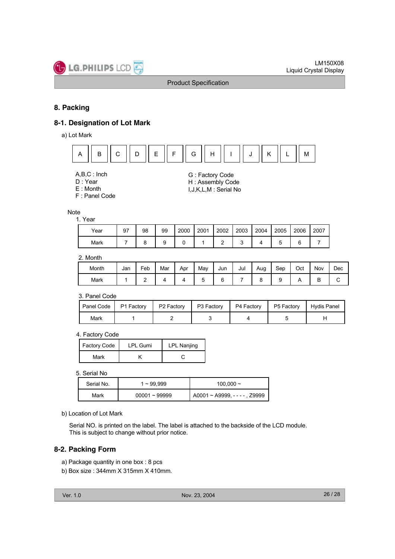

## **8. Packing**

## **8-1. Designation of Lot Mark**

a) Lot Mark



- A,B,C : Inch
- D : Year
- E : Month
- F : Panel Code

#### **Note**

1. Year

| Year | 97 | 98 | 99 | 2000 | 2001 | 2002 | 2003 | 2004 | 2005 | 2006   | 2007 |
|------|----|----|----|------|------|------|------|------|------|--------|------|
| Mark |    |    |    |      |      |      |      |      |      | ⌒<br>◡ |      |

G : Factory Code H : Assembly Code I,J,K,L,M : Serial No

## 2. Month

| Month | Jan | Feb | Mar | Apr | May | Jun | Jul | Aug | Sep | Oct | Nov | Dec |
|-------|-----|-----|-----|-----|-----|-----|-----|-----|-----|-----|-----|-----|
| Mark  |     | -   |     |     | ∼   |     |     |     |     |     | ◡   |     |

3. Panel Code

| Panel Code | P1 Factory | P <sub>2</sub> Factory | P3 Factory | P4 Factory | P5 Factory | Hydis Panel |
|------------|------------|------------------------|------------|------------|------------|-------------|
| Mark       |            |                        |            |            |            |             |

#### 4. Factory Code

| Factory Code | <b>LPL Gumi</b> | LPL Nanjing |
|--------------|-----------------|-------------|
| Mark         |                 |             |

5. Serial No

| Serial No. | 1 ~ 99.999      | 100,000 $\sim$               |
|------------|-----------------|------------------------------|
| Mark       | $00001 - 99999$ | A0001~A9999, - - - - , Z9999 |

#### b) Location of Lot Mark

Serial NO. is printed on the label. The label is attached to the backside of the LCD module. This is subject to change without prior notice.

## **8-2. Packing Form**

- a) Package quantity in one box : 8 pcs
- b) Box size : 344mm X 315mm X 410mm.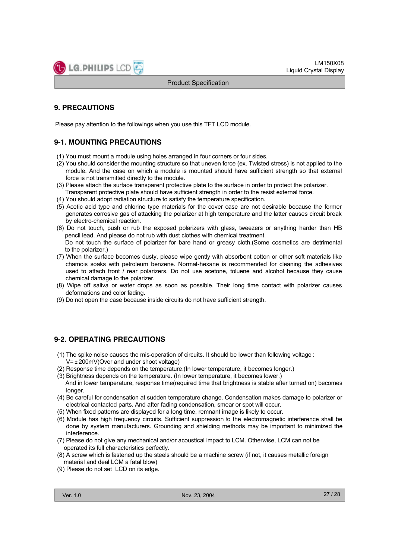

## **9. PRECAUTIONS**

Please pay attention to the followings when you use this TFT LCD module.

## **9-1. MOUNTING PRECAUTIONS**

- (1) You must mount a module using holes arranged in four corners or four sides.
- (2) You should consider the mounting structure so that uneven force (ex. Twisted stress) is not applied to the module. And the case on which a module is mounted should have sufficient strength so that external force is not transmitted directly to the module.
- (3) Please attach the surface transparent protective plate to the surface in order to protect the polarizer. Transparent protective plate should have sufficient strength in order to the resist external force.
- (4) You should adopt radiation structure to satisfy the temperature specification.
- (5) Acetic acid type and chlorine type materials for the cover case are not desirable because the former generates corrosive gas of attacking the polarizer at high temperature and the latter causes circuit break by electro-chemical reaction.
- (6) Do not touch, push or rub the exposed polarizers with glass, tweezers or anything harder than HB pencil lead. And please do not rub with dust clothes with chemical treatment. Do not touch the surface of polarizer for bare hand or greasy cloth.(Some cosmetics are detrimental to the polarizer.)
- (7) When the surface becomes dusty, please wipe gently with absorbent cotton or other soft materials like chamois soaks with petroleum benzene. Normal-hexane is recommended for cleaning the adhesives used to attach front / rear polarizers. Do not use acetone, toluene and alcohol because they cause chemical damage to the polarizer.
- (8) Wipe off saliva or water drops as soon as possible. Their long time contact with polarizer causes deformations and color fading.
- (9) Do not open the case because inside circuits do not have sufficient strength.

## **9-2. OPERATING PRECAUTIONS**

- (1) The spike noise causes the mis-operation of circuits. It should be lower than following voltage :
	- $V = \pm 200$ mV(Over and under shoot voltage)
- (2) Response time depends on the temperature.(In lower temperature, it becomes longer.)
- (3) Brightness depends on the temperature. (In lower temperature, it becomes lower.) And in lower temperature, response time(required time that brightness is stable after turned on) becomes longer.
- (4) Be careful for condensation at sudden temperature change. Condensation makes damage to polarizer or electrical contacted parts. And after fading condensation, smear or spot will occur.
- (5) When fixed patterns are displayed for a long time, remnant image is likely to occur.
- (6) Module has high frequency circuits. Sufficient suppression to the electromagnetic interference shall be done by system manufacturers. Grounding and shielding methods may be important to minimized the interference.
- (7) Please do not give any mechanical and/or acoustical impact to LCM. Otherwise, LCM can not be operated its full characteristics perfectly.
- (8) A screw which is fastened up the steels should be a machine screw (if not, it causes metallic foreign material and deal LCM a fatal blow)
- (9) Please do not set LCD on its edge.